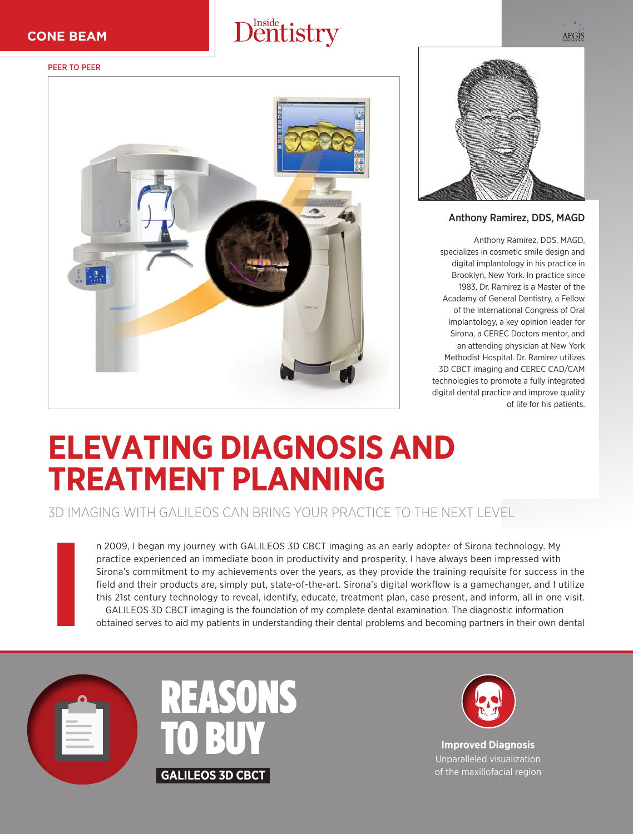## Dentistry

## PEER TO PEER





Anthony Ramirez, DDS, MAGD

Anthony Ramirez, DDS, MAGD, specializes in cosmetic smile design and digital implantology in his practice in Brooklyn, New York. In practice since 1983, Dr. Ramirez is a Master of the Academy of General Dentistry, a Fellow of the International Congress of Oral Implantology, a key opinion leader for Sirona, a CEREC Doctors mentor, and an attending physician at New York Methodist Hospital. Dr. Ramirez utilizes 3D CBCT imaging and CEREC CAD/CAM technologies to promote a fully integrated digital dental practice and improve quality of life for his patients.

## **ELEVATING DIAGNOSIS AND TREATMENT PLANNING**

3D IMAGING WITH GALILEOS CAN BRING YOUR PRACTICE TO THE NEXT LEVEL

n 2009, I began my journey with GALILEOS 3D CBCT imaging as an early adopter of Sirona technology. My practice experienced an immediate boon in productivity and prosperity. I have always been impressed with Sirona's commitment to my achievements over the years, as they provide the training requisite for success in the field and their products are, simply put, state-of-the-art. Sirona's digital workflow is a gamechanger, and I utilize this 21st century technology to reveal, identify, educate, treatment plan, case present, and inform, all in one visit. GALILEOS 3D CBCT imaging is the foundation of my complete dental examination. The diagnostic information obtained serves to aid my patients in understanding their dental problems and becoming partners in their own dental



**I**





**Improved Diagnosis**  Unparalleled visualization of the maxillofacial region **AEGIS**